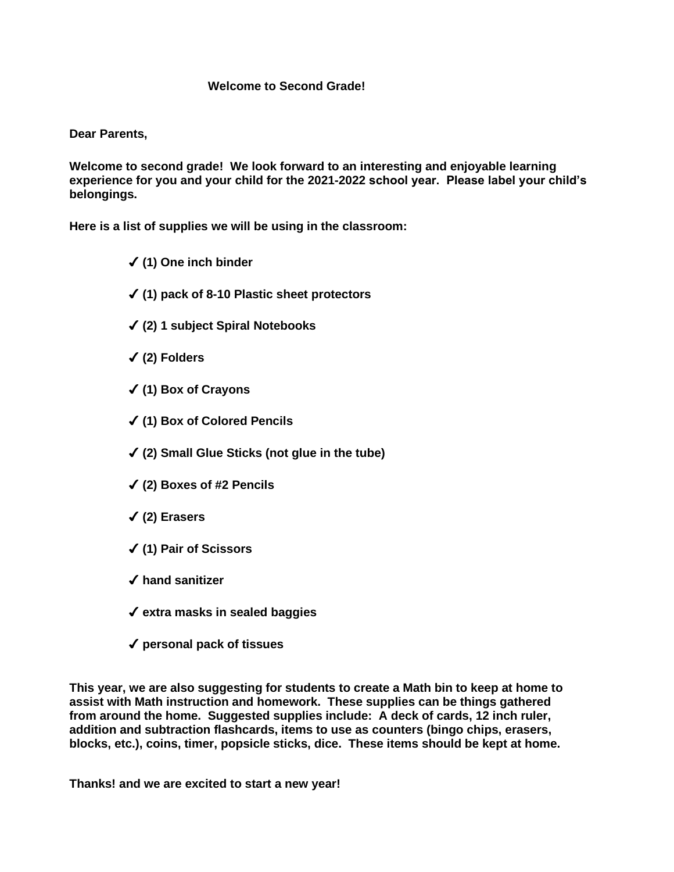## **Welcome to Second Grade!**

## **Dear Parents,**

**Welcome to second grade! We look forward to an interesting and enjoyable learning experience for you and your child for the 2021-2022 school year. Please label your child's belongings.**

**Here is a list of supplies we will be using in the classroom:** 

- ✔ **(1) One inch binder**
- ✔ **(1) pack of 8-10 Plastic sheet protectors**
- ✔ **(2) 1 subject Spiral Notebooks**
- ✔ **(2) Folders**
- ✔ **(1) Box of Crayons**
- ✔ **(1) Box of Colored Pencils**
- ✔ **(2) Small Glue Sticks (not glue in the tube)**
- ✔ **(2) Boxes of #2 Pencils**
- ✔ **(2) Erasers**
- ✔ **(1) Pair of Scissors**
- ✔ **hand sanitizer**
- ✔ **extra masks in sealed baggies**
- ✔ **personal pack of tissues**

**This year, we are also suggesting for students to create a Math bin to keep at home to assist with Math instruction and homework. These supplies can be things gathered from around the home. Suggested supplies include: A deck of cards, 12 inch ruler, addition and subtraction flashcards, items to use as counters (bingo chips, erasers, blocks, etc.), coins, timer, popsicle sticks, dice. These items should be kept at home.**

**Thanks! and we are excited to start a new year!**